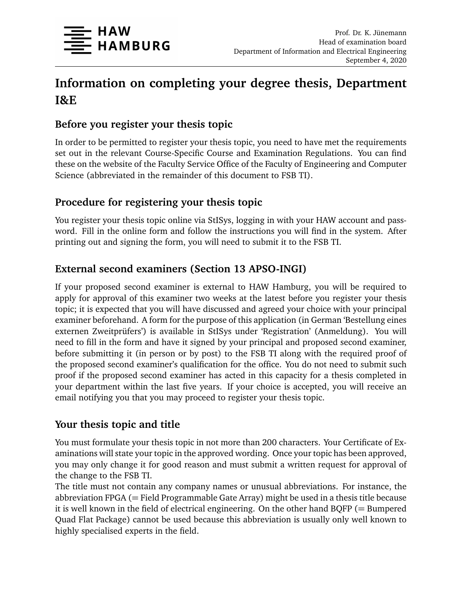

# **Information on completing your degree thesis, Department I&E**

#### **Before you register your thesis topic**

In order to be permitted to register your thesis topic, you need to have met the requirements set out in the relevant Course-Specific Course and Examination Regulations. You can find these on the website of the Faculty Service Office of the Faculty of Engineering and Computer Science (abbreviated in the remainder of this document to FSB TI).

#### **Procedure for registering your thesis topic**

You register your thesis topic online via StISys, logging in with your HAW account and password. Fill in the online form and follow the instructions you will find in the system. After printing out and signing the form, you will need to submit it to the FSB TI.

#### **External second examiners (Section 13 APSO-INGI)**

If your proposed second examiner is external to HAW Hamburg, you will be required to apply for approval of this examiner two weeks at the latest before you register your thesis topic; it is expected that you will have discussed and agreed your choice with your principal examiner beforehand. A form for the purpose of this application (in German 'Bestellung eines externen Zweitprüfers') is available in StISys under 'Registration' (Anmeldung). You will need to fill in the form and have it signed by your principal and proposed second examiner, before submitting it (in person or by post) to the FSB TI along with the required proof of the proposed second examiner's qualification for the office. You do not need to submit such proof if the proposed second examiner has acted in this capacity for a thesis completed in your department within the last five years. If your choice is accepted, you will receive an email notifying you that you may proceed to register your thesis topic.

# **Your thesis topic and title**

You must formulate your thesis topic in not more than 200 characters. Your Certificate of Examinations will state your topic in the approved wording. Once your topic has been approved, you may only change it for good reason and must submit a written request for approval of the change to the FSB TI.

The title must not contain any company names or unusual abbreviations. For instance, the abbreviation FPGA ( $=$  Field Programmable Gate Array) might be used in a thesis title because it is well known in the field of electrical engineering. On the other hand  $BQFP (= Bumpered$ Quad Flat Package) cannot be used because this abbreviation is usually only well known to highly specialised experts in the field.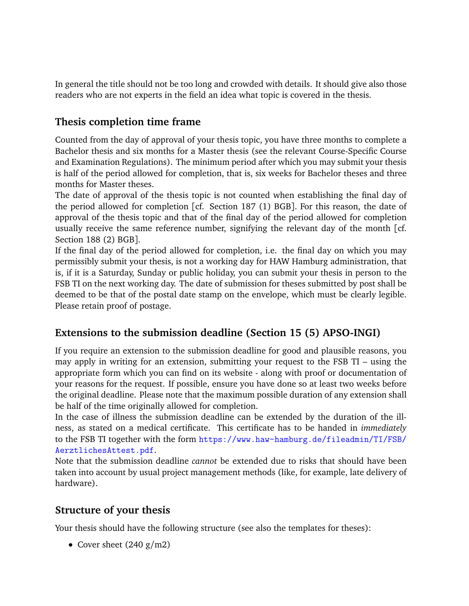In general the title should not be too long and crowded with details. It should give also those readers who are not experts in the field an idea what topic is covered in the thesis.

#### **Thesis completion time frame**

Counted from the day of approval of your thesis topic, you have three months to complete a Bachelor thesis and six months for a Master thesis (see the relevant Course-Specific Course and Examination Regulations). The minimum period after which you may submit your thesis is half of the period allowed for completion, that is, six weeks for Bachelor theses and three months for Master theses.

The date of approval of the thesis topic is not counted when establishing the final day of the period allowed for completion [cf. Section 187 (1) BGB]. For this reason, the date of approval of the thesis topic and that of the final day of the period allowed for completion usually receive the same reference number, signifying the relevant day of the month [cf. Section 188 (2) BGB].

If the final day of the period allowed for completion, i.e. the final day on which you may permissibly submit your thesis, is not a working day for HAW Hamburg administration, that is, if it is a Saturday, Sunday or public holiday, you can submit your thesis in person to the FSB TI on the next working day. The date of submission for theses submitted by post shall be deemed to be that of the postal date stamp on the envelope, which must be clearly legible. Please retain proof of postage.

# **Extensions to the submission deadline (Section 15 (5) APSO-INGI)**

If you require an extension to the submission deadline for good and plausible reasons, you may apply in writing for an extension, submitting your request to the FSB TI – using the appropriate form which you can find on its website - along with proof or documentation of your reasons for the request. If possible, ensure you have done so at least two weeks before the original deadline. Please note that the maximum possible duration of any extension shall be half of the time originally allowed for completion.

In the case of illness the submission deadline can be extended by the duration of the illness, as stated on a medical certificate. This certificate has to be handed in *immediately* to the FSB TI together with the form [https://www.haw-hamburg.de/fileadmin/TI/FSB/](https://www.haw-hamburg.de/fileadmin/TI/FSB/AerztlichesAttest.pdf) [AerztlichesAttest.pdf](https://www.haw-hamburg.de/fileadmin/TI/FSB/AerztlichesAttest.pdf).

Note that the submission deadline *cannot* be extended due to risks that should have been taken into account by usual project management methods (like, for example, late delivery of hardware).

# **Structure of your thesis**

Your thesis should have the following structure (see also the templates for theses):

• Cover sheet  $(240 \text{ g/m2})$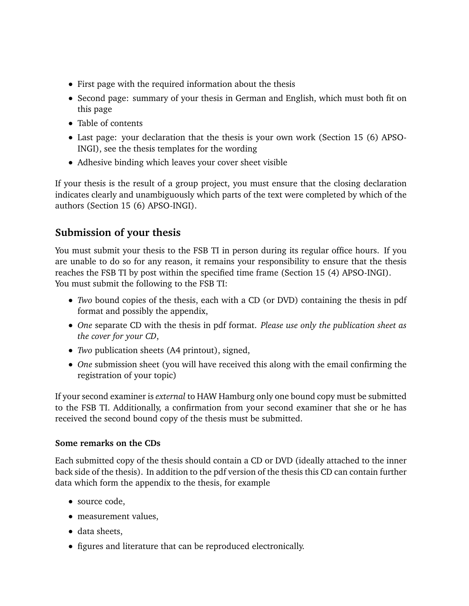- First page with the required information about the thesis
- Second page: summary of your thesis in German and English, which must both fit on this page
- Table of contents
- Last page: your declaration that the thesis is your own work (Section 15 (6) APSO-INGI), see the thesis templates for the wording
- Adhesive binding which leaves your cover sheet visible

If your thesis is the result of a group project, you must ensure that the closing declaration indicates clearly and unambiguously which parts of the text were completed by which of the authors (Section 15 (6) APSO-INGI).

# **Submission of your thesis**

You must submit your thesis to the FSB TI in person during its regular office hours. If you are unable to do so for any reason, it remains your responsibility to ensure that the thesis reaches the FSB TI by post within the specified time frame (Section 15 (4) APSO-INGI). You must submit the following to the FSB TI:

- *Two* bound copies of the thesis, each with a CD (or DVD) containing the thesis in pdf format and possibly the appendix,
- *One* separate CD with the thesis in pdf format. *Please use only the publication sheet as the cover for your CD*,
- *Two* publication sheets (A4 printout), signed,
- *One* submission sheet (you will have received this along with the email confirming the registration of your topic)

If your second examiner is *external* to HAW Hamburg only one bound copy must be submitted to the FSB TI. Additionally, a confirmation from your second examiner that she or he has received the second bound copy of the thesis must be submitted.

#### **Some remarks on the CDs**

Each submitted copy of the thesis should contain a CD or DVD (ideally attached to the inner back side of the thesis). In addition to the pdf version of the thesis this CD can contain further data which form the appendix to the thesis, for example

- source code,
- measurement values,
- data sheets,
- figures and literature that can be reproduced electronically.